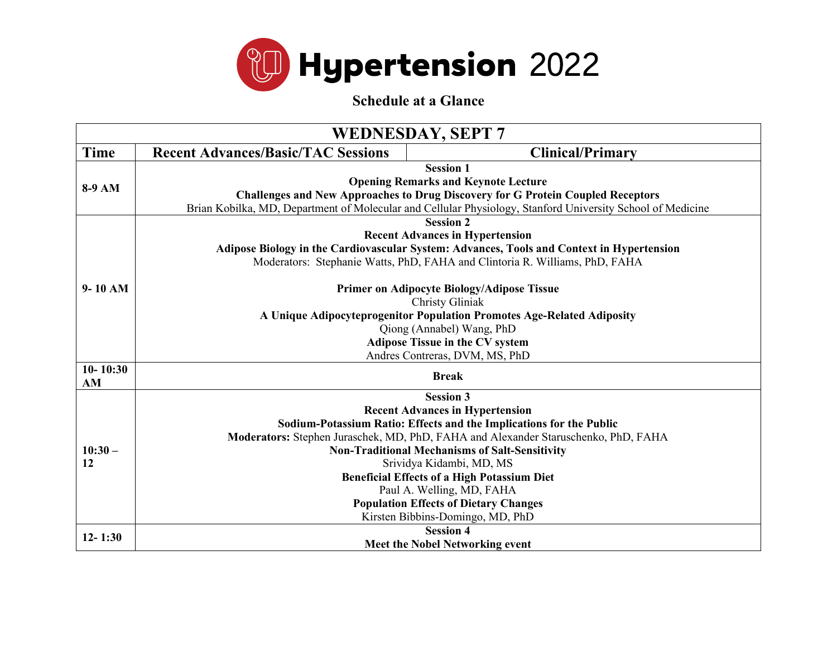

**Schedule at a Glance**

| <b>WEDNESDAY, SEPT 7</b> |                                           |                                                                                                            |  |
|--------------------------|-------------------------------------------|------------------------------------------------------------------------------------------------------------|--|
| Time                     | <b>Recent Advances/Basic/TAC Sessions</b> | <b>Clinical/Primary</b>                                                                                    |  |
|                          |                                           | <b>Session 1</b>                                                                                           |  |
| 8-9 AM                   |                                           | <b>Opening Remarks and Keynote Lecture</b>                                                                 |  |
|                          |                                           | <b>Challenges and New Approaches to Drug Discovery for G Protein Coupled Receptors</b>                     |  |
|                          |                                           | Brian Kobilka, MD, Department of Molecular and Cellular Physiology, Stanford University School of Medicine |  |
|                          |                                           | <b>Session 2</b>                                                                                           |  |
|                          |                                           | <b>Recent Advances in Hypertension</b>                                                                     |  |
|                          |                                           | Adipose Biology in the Cardiovascular System: Advances, Tools and Context in Hypertension                  |  |
|                          |                                           | Moderators: Stephanie Watts, PhD, FAHA and Clintoria R. Williams, PhD, FAHA                                |  |
| $9-10$ AM                |                                           | <b>Primer on Adipocyte Biology/Adipose Tissue</b>                                                          |  |
|                          |                                           | Christy Gliniak                                                                                            |  |
|                          |                                           | A Unique Adipocyteprogenitor Population Promotes Age-Related Adiposity                                     |  |
|                          |                                           | Qiong (Annabel) Wang, PhD                                                                                  |  |
|                          |                                           | <b>Adipose Tissue in the CV system</b>                                                                     |  |
|                          |                                           | Andres Contreras, DVM, MS, PhD                                                                             |  |
| $10 - 10:30$<br>AM       | <b>Break</b>                              |                                                                                                            |  |
|                          |                                           | <b>Session 3</b>                                                                                           |  |
|                          |                                           | <b>Recent Advances in Hypertension</b>                                                                     |  |
|                          |                                           | Sodium-Potassium Ratio: Effects and the Implications for the Public                                        |  |
|                          |                                           | Moderators: Stephen Juraschek, MD, PhD, FAHA and Alexander Staruschenko, PhD, FAHA                         |  |
| $10:30-$                 |                                           | <b>Non-Traditional Mechanisms of Salt-Sensitivity</b>                                                      |  |
| 12                       |                                           | Srividya Kidambi, MD, MS                                                                                   |  |
|                          |                                           | <b>Beneficial Effects of a High Potassium Diet</b>                                                         |  |
|                          |                                           | Paul A. Welling, MD, FAHA                                                                                  |  |
|                          |                                           | <b>Population Effects of Dietary Changes</b>                                                               |  |
|                          |                                           | Kirsten Bibbins-Domingo, MD, PhD                                                                           |  |
| $12 - 1:30$              |                                           | <b>Session 4</b>                                                                                           |  |
|                          |                                           | <b>Meet the Nobel Networking event</b>                                                                     |  |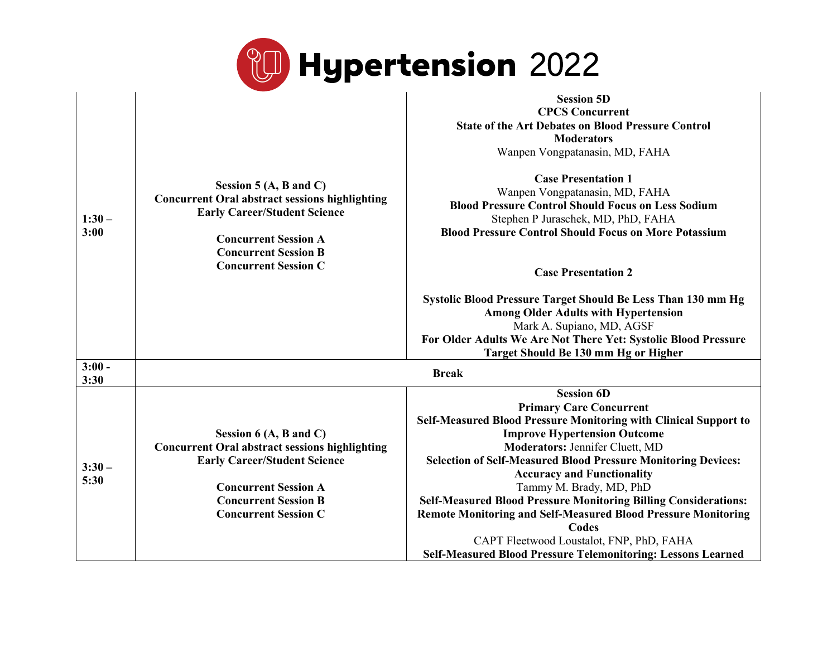

|                  |                                                                                                                                                                                                                                | <b>Session 5D</b>                                                                                                                                                                                                                                                                                                                                                                                                                                                                                                   |
|------------------|--------------------------------------------------------------------------------------------------------------------------------------------------------------------------------------------------------------------------------|---------------------------------------------------------------------------------------------------------------------------------------------------------------------------------------------------------------------------------------------------------------------------------------------------------------------------------------------------------------------------------------------------------------------------------------------------------------------------------------------------------------------|
|                  |                                                                                                                                                                                                                                | <b>CPCS Concurrent</b>                                                                                                                                                                                                                                                                                                                                                                                                                                                                                              |
|                  |                                                                                                                                                                                                                                | <b>State of the Art Debates on Blood Pressure Control</b>                                                                                                                                                                                                                                                                                                                                                                                                                                                           |
|                  |                                                                                                                                                                                                                                | <b>Moderators</b>                                                                                                                                                                                                                                                                                                                                                                                                                                                                                                   |
|                  |                                                                                                                                                                                                                                | Wanpen Vongpatanasin, MD, FAHA                                                                                                                                                                                                                                                                                                                                                                                                                                                                                      |
| $1:30-$<br>3:00  | Session 5 $(A, B \text{ and } C)$<br><b>Concurrent Oral abstract sessions highlighting</b><br><b>Early Career/Student Science</b><br><b>Concurrent Session A</b><br><b>Concurrent Session B</b><br><b>Concurrent Session C</b> | <b>Case Presentation 1</b><br>Wanpen Vongpatanasin, MD, FAHA<br><b>Blood Pressure Control Should Focus on Less Sodium</b><br>Stephen P Juraschek, MD, PhD, FAHA<br><b>Blood Pressure Control Should Focus on More Potassium</b><br><b>Case Presentation 2</b><br>Systolic Blood Pressure Target Should Be Less Than 130 mm Hg<br><b>Among Older Adults with Hypertension</b><br>Mark A. Supiano, MD, AGSF<br>For Older Adults We Are Not There Yet: Systolic Blood Pressure<br>Target Should Be 130 mm Hg or Higher |
| $3:00 -$<br>3:30 |                                                                                                                                                                                                                                | <b>Break</b>                                                                                                                                                                                                                                                                                                                                                                                                                                                                                                        |
|                  |                                                                                                                                                                                                                                | <b>Session 6D</b>                                                                                                                                                                                                                                                                                                                                                                                                                                                                                                   |
|                  |                                                                                                                                                                                                                                | <b>Primary Care Concurrent</b>                                                                                                                                                                                                                                                                                                                                                                                                                                                                                      |
|                  |                                                                                                                                                                                                                                | <b>Self-Measured Blood Pressure Monitoring with Clinical Support to</b>                                                                                                                                                                                                                                                                                                                                                                                                                                             |
|                  | Session $6(A, B \text{ and } C)$                                                                                                                                                                                               | <b>Improve Hypertension Outcome</b>                                                                                                                                                                                                                                                                                                                                                                                                                                                                                 |
|                  | <b>Concurrent Oral abstract sessions highlighting</b>                                                                                                                                                                          | <b>Moderators: Jennifer Cluett, MD</b>                                                                                                                                                                                                                                                                                                                                                                                                                                                                              |
|                  | <b>Early Career/Student Science</b>                                                                                                                                                                                            | <b>Selection of Self-Measured Blood Pressure Monitoring Devices:</b>                                                                                                                                                                                                                                                                                                                                                                                                                                                |
| $3:30-$<br>5:30  |                                                                                                                                                                                                                                | <b>Accuracy and Functionality</b>                                                                                                                                                                                                                                                                                                                                                                                                                                                                                   |
|                  | <b>Concurrent Session A</b>                                                                                                                                                                                                    | Tammy M. Brady, MD, PhD                                                                                                                                                                                                                                                                                                                                                                                                                                                                                             |
|                  | <b>Concurrent Session B</b>                                                                                                                                                                                                    | <b>Self-Measured Blood Pressure Monitoring Billing Considerations:</b>                                                                                                                                                                                                                                                                                                                                                                                                                                              |
|                  | <b>Concurrent Session C</b>                                                                                                                                                                                                    | <b>Remote Monitoring and Self-Measured Blood Pressure Monitoring</b>                                                                                                                                                                                                                                                                                                                                                                                                                                                |
|                  |                                                                                                                                                                                                                                | <b>Codes</b>                                                                                                                                                                                                                                                                                                                                                                                                                                                                                                        |
|                  |                                                                                                                                                                                                                                | CAPT Fleetwood Loustalot, FNP, PhD, FAHA                                                                                                                                                                                                                                                                                                                                                                                                                                                                            |
|                  |                                                                                                                                                                                                                                | <b>Self-Measured Blood Pressure Telemonitoring: Lessons Learned</b>                                                                                                                                                                                                                                                                                                                                                                                                                                                 |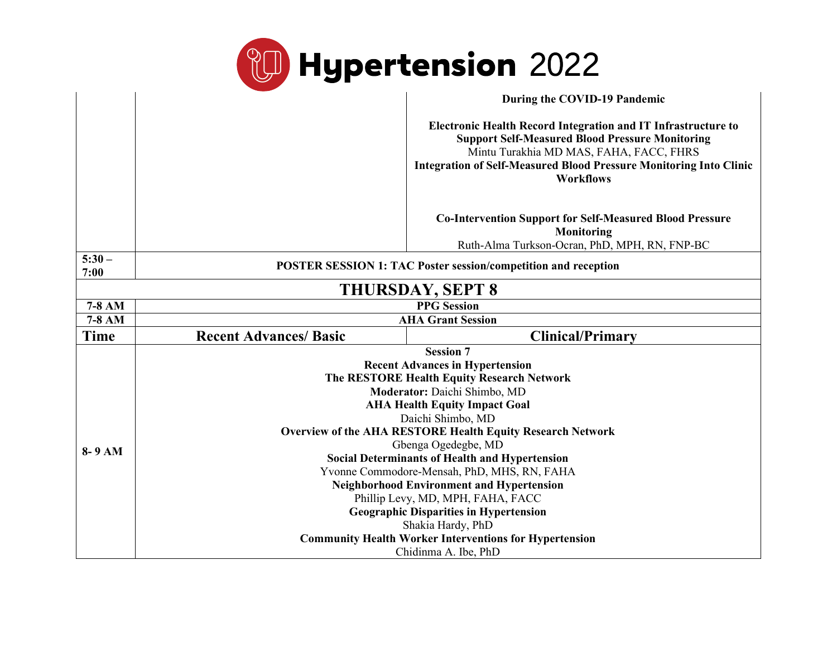

|                         |                               | During the COVID-19 Pandemic                                                                                                                                                                                                                                               |  |
|-------------------------|-------------------------------|----------------------------------------------------------------------------------------------------------------------------------------------------------------------------------------------------------------------------------------------------------------------------|--|
|                         |                               | <b>Electronic Health Record Integration and IT Infrastructure to</b><br><b>Support Self-Measured Blood Pressure Monitoring</b><br>Mintu Turakhia MD MAS, FAHA, FACC, FHRS<br><b>Integration of Self-Measured Blood Pressure Monitoring Into Clinic</b><br><b>Workflows</b> |  |
|                         |                               | <b>Co-Intervention Support for Self-Measured Blood Pressure</b><br>Monitoring<br>Ruth-Alma Turkson-Ocran, PhD, MPH, RN, FNP-BC                                                                                                                                             |  |
| $5:30-$<br>7:00         |                               | <b>POSTER SESSION 1: TAC Poster session/competition and reception</b>                                                                                                                                                                                                      |  |
| <b>THURSDAY, SEPT 8</b> |                               |                                                                                                                                                                                                                                                                            |  |
| 7-8 AM                  | <b>PPG</b> Session            |                                                                                                                                                                                                                                                                            |  |
| 7-8 AM                  | <b>AHA Grant Session</b>      |                                                                                                                                                                                                                                                                            |  |
|                         |                               |                                                                                                                                                                                                                                                                            |  |
| <b>Time</b>             | <b>Recent Advances/ Basic</b> | <b>Clinical/Primary</b>                                                                                                                                                                                                                                                    |  |
|                         |                               | <b>Session 7</b>                                                                                                                                                                                                                                                           |  |
|                         |                               | <b>Recent Advances in Hypertension</b>                                                                                                                                                                                                                                     |  |
|                         |                               | The RESTORE Health Equity Research Network                                                                                                                                                                                                                                 |  |
|                         |                               | Moderator: Daichi Shimbo, MD                                                                                                                                                                                                                                               |  |
|                         |                               | <b>AHA Health Equity Impact Goal</b>                                                                                                                                                                                                                                       |  |
|                         |                               | Daichi Shimbo, MD                                                                                                                                                                                                                                                          |  |
|                         |                               | <b>Overview of the AHA RESTORE Health Equity Research Network</b>                                                                                                                                                                                                          |  |
| 8-9 AM                  |                               | Gbenga Ogedegbe, MD                                                                                                                                                                                                                                                        |  |
|                         |                               | <b>Social Determinants of Health and Hypertension</b>                                                                                                                                                                                                                      |  |
|                         |                               | Yvonne Commodore-Mensah, PhD, MHS, RN, FAHA<br><b>Neighborhood Environment and Hypertension</b>                                                                                                                                                                            |  |
|                         |                               | Phillip Levy, MD, MPH, FAHA, FACC                                                                                                                                                                                                                                          |  |
|                         |                               | <b>Geographic Disparities in Hypertension</b>                                                                                                                                                                                                                              |  |
|                         |                               | Shakia Hardy, PhD                                                                                                                                                                                                                                                          |  |
|                         |                               | <b>Community Health Worker Interventions for Hypertension</b><br>Chidinma A. Ibe, PhD                                                                                                                                                                                      |  |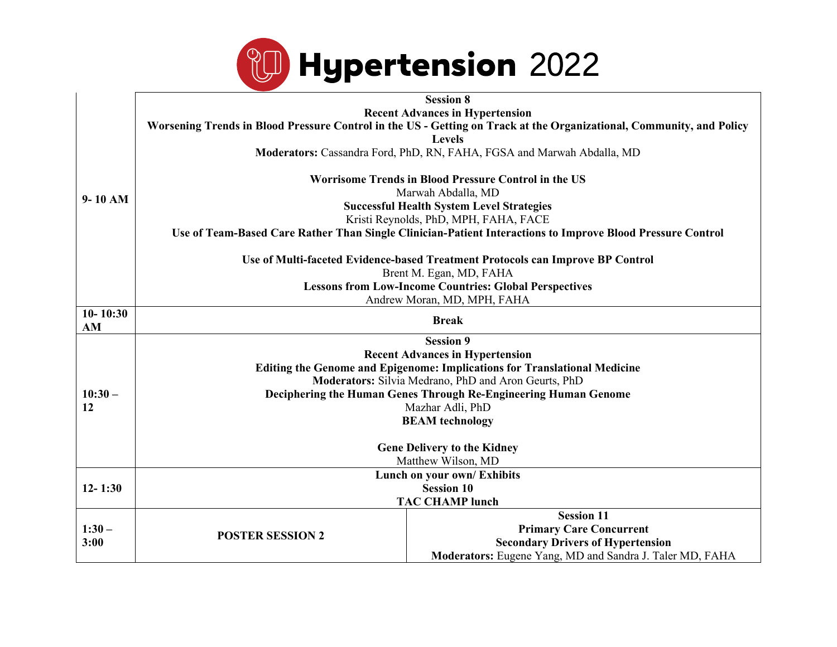

|              | <b>Session 8</b>                                                                                                     |                                                                                                            |  |
|--------------|----------------------------------------------------------------------------------------------------------------------|------------------------------------------------------------------------------------------------------------|--|
| $9-10$ AM    | <b>Recent Advances in Hypertension</b>                                                                               |                                                                                                            |  |
|              | Worsening Trends in Blood Pressure Control in the US - Getting on Track at the Organizational, Community, and Policy |                                                                                                            |  |
|              | <b>Levels</b>                                                                                                        |                                                                                                            |  |
|              |                                                                                                                      | Moderators: Cassandra Ford, PhD, RN, FAHA, FGSA and Marwah Abdalla, MD                                     |  |
|              | Worrisome Trends in Blood Pressure Control in the US                                                                 |                                                                                                            |  |
|              | Marwah Abdalla, MD                                                                                                   |                                                                                                            |  |
|              | <b>Successful Health System Level Strategies</b>                                                                     |                                                                                                            |  |
|              |                                                                                                                      | Kristi Reynolds, PhD, MPH, FAHA, FACE                                                                      |  |
|              |                                                                                                                      | Use of Team-Based Care Rather Than Single Clinician-Patient Interactions to Improve Blood Pressure Control |  |
|              | Use of Multi-faceted Evidence-based Treatment Protocols can Improve BP Control<br>Brent M. Egan, MD, FAHA            |                                                                                                            |  |
|              |                                                                                                                      |                                                                                                            |  |
|              | <b>Lessons from Low-Income Countries: Global Perspectives</b><br>Andrew Moran, MD, MPH, FAHA                         |                                                                                                            |  |
| $10 - 10:30$ |                                                                                                                      |                                                                                                            |  |
| AM           | <b>Break</b>                                                                                                         |                                                                                                            |  |
|              |                                                                                                                      | <b>Session 9</b>                                                                                           |  |
|              | <b>Recent Advances in Hypertension</b>                                                                               |                                                                                                            |  |
|              | <b>Editing the Genome and Epigenome: Implications for Translational Medicine</b>                                     |                                                                                                            |  |
|              | Moderators: Silvia Medrano, PhD and Aron Geurts, PhD                                                                 |                                                                                                            |  |
| $10:30-$     | Deciphering the Human Genes Through Re-Engineering Human Genome                                                      |                                                                                                            |  |
| 12           | Mazhar Adli, PhD<br><b>BEAM</b> technology<br><b>Gene Delivery to the Kidney</b>                                     |                                                                                                            |  |
|              |                                                                                                                      |                                                                                                            |  |
|              |                                                                                                                      |                                                                                                            |  |
|              | Matthew Wilson, MD                                                                                                   |                                                                                                            |  |
|              | Lunch on your own/ Exhibits                                                                                          |                                                                                                            |  |
| $12 - 1:30$  | <b>Session 10</b>                                                                                                    |                                                                                                            |  |
|              | <b>TAC CHAMP lunch</b>                                                                                               |                                                                                                            |  |
|              |                                                                                                                      | <b>Session 11</b>                                                                                          |  |
| $1:30-$      | <b>POSTER SESSION 2</b>                                                                                              | <b>Primary Care Concurrent</b>                                                                             |  |
| 3:00         |                                                                                                                      | <b>Secondary Drivers of Hypertension</b>                                                                   |  |
|              |                                                                                                                      | Moderators: Eugene Yang, MD and Sandra J. Taler MD, FAHA                                                   |  |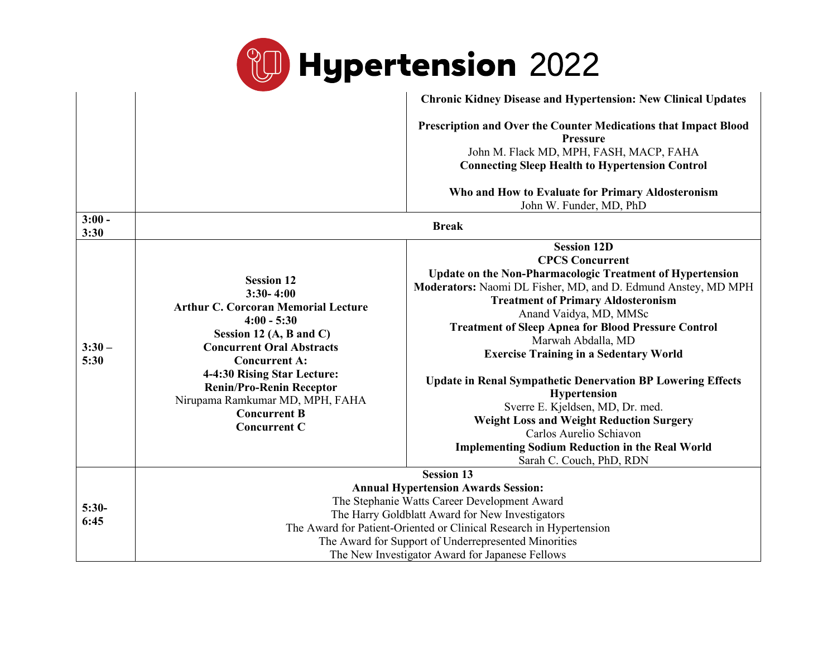

|                  |                                                                                                                                                                                                                                                                                                                                           | <b>Chronic Kidney Disease and Hypertension: New Clinical Updates</b>                                                                                                                                                                                                                                                                                                                                                                                                                                                                                                                                                                                                                               |
|------------------|-------------------------------------------------------------------------------------------------------------------------------------------------------------------------------------------------------------------------------------------------------------------------------------------------------------------------------------------|----------------------------------------------------------------------------------------------------------------------------------------------------------------------------------------------------------------------------------------------------------------------------------------------------------------------------------------------------------------------------------------------------------------------------------------------------------------------------------------------------------------------------------------------------------------------------------------------------------------------------------------------------------------------------------------------------|
|                  |                                                                                                                                                                                                                                                                                                                                           | Prescription and Over the Counter Medications that Impact Blood<br><b>Pressure</b><br>John M. Flack MD, MPH, FASH, MACP, FAHA<br><b>Connecting Sleep Health to Hypertension Control</b>                                                                                                                                                                                                                                                                                                                                                                                                                                                                                                            |
|                  |                                                                                                                                                                                                                                                                                                                                           | Who and How to Evaluate for Primary Aldosteronism<br>John W. Funder, MD, PhD                                                                                                                                                                                                                                                                                                                                                                                                                                                                                                                                                                                                                       |
| $3:00 -$<br>3:30 |                                                                                                                                                                                                                                                                                                                                           | <b>Break</b>                                                                                                                                                                                                                                                                                                                                                                                                                                                                                                                                                                                                                                                                                       |
| $3:30-$<br>5:30  | <b>Session 12</b><br>$3:30-4:00$<br><b>Arthur C. Corcoran Memorial Lecture</b><br>$4:00 - 5:30$<br>Session 12 (A, B and C)<br><b>Concurrent Oral Abstracts</b><br><b>Concurrent A:</b><br>4-4:30 Rising Star Lecture:<br><b>Renin/Pro-Renin Receptor</b><br>Nirupama Ramkumar MD, MPH, FAHA<br><b>Concurrent B</b><br><b>Concurrent C</b> | <b>Session 12D</b><br><b>CPCS Concurrent</b><br><b>Update on the Non-Pharmacologic Treatment of Hypertension</b><br>Moderators: Naomi DL Fisher, MD, and D. Edmund Anstey, MD MPH<br><b>Treatment of Primary Aldosteronism</b><br>Anand Vaidya, MD, MMSc<br><b>Treatment of Sleep Apnea for Blood Pressure Control</b><br>Marwah Abdalla, MD<br><b>Exercise Training in a Sedentary World</b><br><b>Update in Renal Sympathetic Denervation BP Lowering Effects</b><br><b>Hypertension</b><br>Sverre E. Kjeldsen, MD, Dr. med.<br><b>Weight Loss and Weight Reduction Surgery</b><br>Carlos Aurelio Schiavon<br><b>Implementing Sodium Reduction in the Real World</b><br>Sarah C. Couch, PhD, RDN |
|                  |                                                                                                                                                                                                                                                                                                                                           | <b>Session 13</b>                                                                                                                                                                                                                                                                                                                                                                                                                                                                                                                                                                                                                                                                                  |
| $5:30-$<br>6:45  | <b>Annual Hypertension Awards Session:</b><br>The Stephanie Watts Career Development Award<br>The Harry Goldblatt Award for New Investigators<br>The Award for Patient-Oriented or Clinical Research in Hypertension<br>The Award for Support of Underrepresented Minorities<br>The New Investigator Award for Japanese Fellows           |                                                                                                                                                                                                                                                                                                                                                                                                                                                                                                                                                                                                                                                                                                    |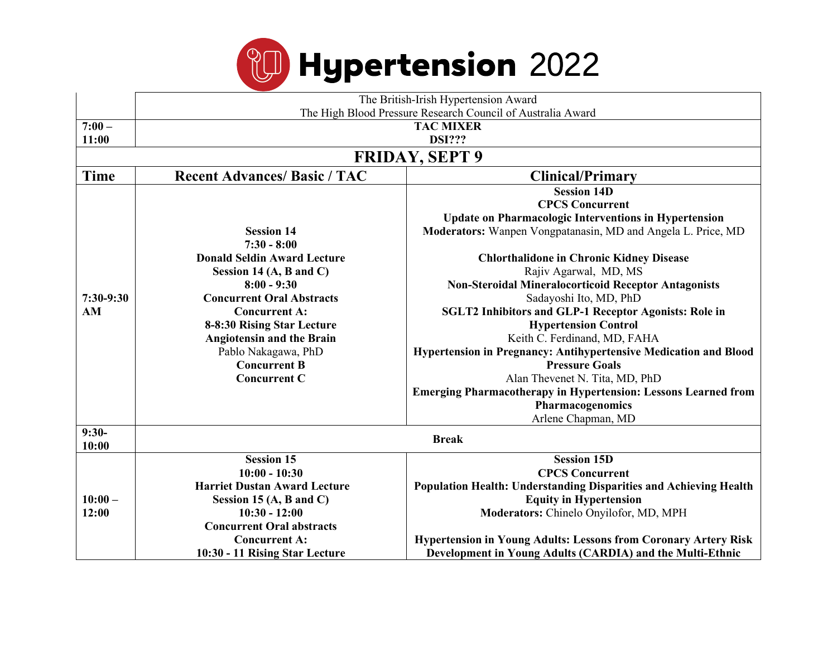

|                       | The British-Irish Hypertension Award                           |                                                                        |  |
|-----------------------|----------------------------------------------------------------|------------------------------------------------------------------------|--|
|                       | The High Blood Pressure Research Council of Australia Award    |                                                                        |  |
| $7:00 -$              | <b>TAC MIXER</b>                                               |                                                                        |  |
| 11:00                 |                                                                | <b>DSI???</b>                                                          |  |
| <b>FRIDAY, SEPT 9</b> |                                                                |                                                                        |  |
| <b>Time</b>           | <b>Recent Advances/ Basic / TAC</b><br><b>Clinical/Primary</b> |                                                                        |  |
|                       |                                                                | <b>Session 14D</b>                                                     |  |
|                       |                                                                | <b>CPCS Concurrent</b>                                                 |  |
|                       |                                                                | <b>Update on Pharmacologic Interventions in Hypertension</b>           |  |
|                       | <b>Session 14</b>                                              | Moderators: Wanpen Vongpatanasin, MD and Angela L. Price, MD           |  |
|                       | $7:30 - 8:00$                                                  |                                                                        |  |
|                       | <b>Donald Seldin Award Lecture</b>                             | <b>Chlorthalidone in Chronic Kidney Disease</b>                        |  |
|                       | Session 14 $(A, B \text{ and } C)$                             | Rajiv Agarwal, MD, MS                                                  |  |
|                       | $8:00 - 9:30$                                                  | <b>Non-Steroidal Mineralocorticoid Receptor Antagonists</b>            |  |
| 7:30-9:30             | <b>Concurrent Oral Abstracts</b>                               | Sadayoshi Ito, MD, PhD                                                 |  |
| AM                    | <b>Concurrent A:</b>                                           | <b>SGLT2 Inhibitors and GLP-1 Receptor Agonists: Role in</b>           |  |
|                       | 8-8:30 Rising Star Lecture                                     | <b>Hypertension Control</b>                                            |  |
|                       | <b>Angiotensin and the Brain</b>                               | Keith C. Ferdinand, MD, FAHA                                           |  |
|                       | Pablo Nakagawa, PhD                                            | Hypertension in Pregnancy: Antihypertensive Medication and Blood       |  |
|                       | <b>Concurrent B</b>                                            | <b>Pressure Goals</b>                                                  |  |
|                       | <b>Concurrent C</b>                                            | Alan Thevenet N. Tita, MD, PhD                                         |  |
|                       |                                                                | <b>Emerging Pharmacotherapy in Hypertension: Lessons Learned from</b>  |  |
|                       |                                                                | Pharmacogenomics                                                       |  |
|                       |                                                                | Arlene Chapman, MD                                                     |  |
| $9:30-$               | <b>Break</b>                                                   |                                                                        |  |
| 10:00                 |                                                                |                                                                        |  |
|                       | <b>Session 15</b>                                              | <b>Session 15D</b>                                                     |  |
|                       | $10:00 - 10:30$                                                | <b>CPCS Concurrent</b>                                                 |  |
|                       | <b>Harriet Dustan Award Lecture</b>                            | Population Health: Understanding Disparities and Achieving Health      |  |
| $10:00 -$             | Session 15 $(A, B \text{ and } C)$                             | <b>Equity in Hypertension</b>                                          |  |
| 12:00                 | $10:30 - 12:00$                                                | Moderators: Chinelo Onyilofor, MD, MPH                                 |  |
|                       | <b>Concurrent Oral abstracts</b>                               |                                                                        |  |
|                       | <b>Concurrent A:</b>                                           | <b>Hypertension in Young Adults: Lessons from Coronary Artery Risk</b> |  |
|                       | 10:30 - 11 Rising Star Lecture                                 | Development in Young Adults (CARDIA) and the Multi-Ethnic              |  |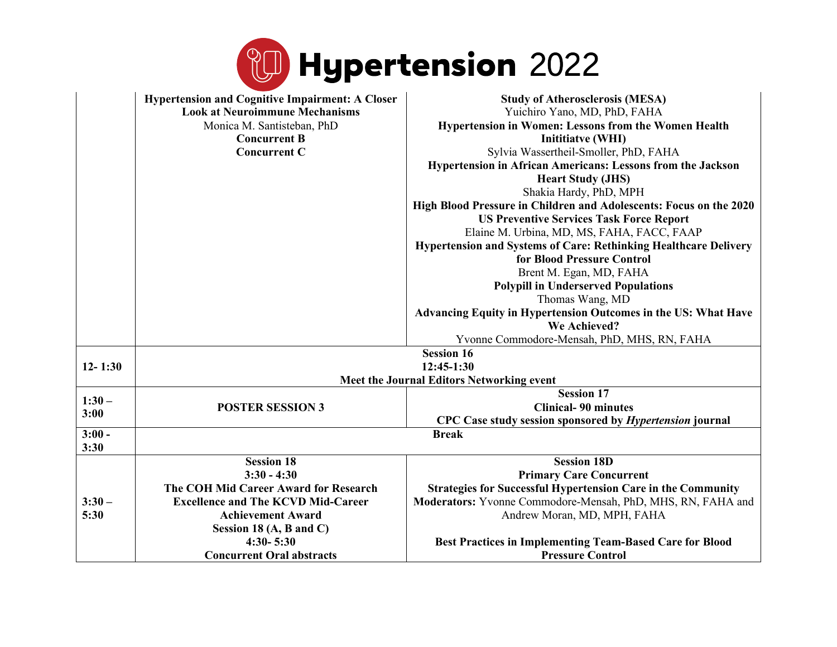|                  |                                                                                                                                                                                 | <b>Hypertension 2022</b>                                                                                                                                                                                                                                                                                                                                                                                                                                                                                                                                                                                                                                                                                                                                                                                                             |  |
|------------------|---------------------------------------------------------------------------------------------------------------------------------------------------------------------------------|--------------------------------------------------------------------------------------------------------------------------------------------------------------------------------------------------------------------------------------------------------------------------------------------------------------------------------------------------------------------------------------------------------------------------------------------------------------------------------------------------------------------------------------------------------------------------------------------------------------------------------------------------------------------------------------------------------------------------------------------------------------------------------------------------------------------------------------|--|
|                  | <b>Hypertension and Cognitive Impairment: A Closer</b><br><b>Look at Neuroimmune Mechanisms</b><br>Monica M. Santisteban, PhD<br><b>Concurrent B</b><br><b>Concurrent C</b>     | <b>Study of Atherosclerosis (MESA)</b><br>Yuichiro Yano, MD, PhD, FAHA<br>Hypertension in Women: Lessons from the Women Health<br><b>Initiative (WHI)</b><br>Sylvia Wassertheil-Smoller, PhD, FAHA<br>Hypertension in African Americans: Lessons from the Jackson<br><b>Heart Study (JHS)</b><br>Shakia Hardy, PhD, MPH<br>High Blood Pressure in Children and Adolescents: Focus on the 2020<br><b>US Preventive Services Task Force Report</b><br>Elaine M. Urbina, MD, MS, FAHA, FACC, FAAP<br><b>Hypertension and Systems of Care: Rethinking Healthcare Delivery</b><br>for Blood Pressure Control<br>Brent M. Egan, MD, FAHA<br><b>Polypill in Underserved Populations</b><br>Thomas Wang, MD<br>Advancing Equity in Hypertension Outcomes in the US: What Have<br>We Achieved?<br>Yvonne Commodore-Mensah, PhD, MHS, RN, FAHA |  |
| $12 - 1:30$      |                                                                                                                                                                                 | <b>Session 16</b><br>$12:45-1:30$                                                                                                                                                                                                                                                                                                                                                                                                                                                                                                                                                                                                                                                                                                                                                                                                    |  |
|                  | <b>Meet the Journal Editors Networking event</b>                                                                                                                                |                                                                                                                                                                                                                                                                                                                                                                                                                                                                                                                                                                                                                                                                                                                                                                                                                                      |  |
| $1:30-$<br>3:00  | <b>POSTER SESSION 3</b>                                                                                                                                                         | <b>Session 17</b><br><b>Clinical-90 minutes</b><br>CPC Case study session sponsored by <i>Hypertension</i> journal                                                                                                                                                                                                                                                                                                                                                                                                                                                                                                                                                                                                                                                                                                                   |  |
| $3:00 -$<br>3:30 | <b>Break</b>                                                                                                                                                                    |                                                                                                                                                                                                                                                                                                                                                                                                                                                                                                                                                                                                                                                                                                                                                                                                                                      |  |
| $3:30-$<br>5:30  | <b>Session 18</b><br>$3:30 - 4:30$<br>The COH Mid Career Award for Research<br><b>Excellence and The KCVD Mid-Career</b><br><b>Achievement Award</b><br>Session 18 (A, B and C) | <b>Session 18D</b><br><b>Primary Care Concurrent</b><br><b>Strategies for Successful Hypertension Care in the Community</b><br>Moderators: Yvonne Commodore-Mensah, PhD, MHS, RN, FAHA and<br>Andrew Moran, MD, MPH, FAHA                                                                                                                                                                                                                                                                                                                                                                                                                                                                                                                                                                                                            |  |
|                  | $4:30 - 5:30$<br><b>Concurrent Oral abstracts</b>                                                                                                                               | <b>Best Practices in Implementing Team-Based Care for Blood</b><br><b>Pressure Control</b>                                                                                                                                                                                                                                                                                                                                                                                                                                                                                                                                                                                                                                                                                                                                           |  |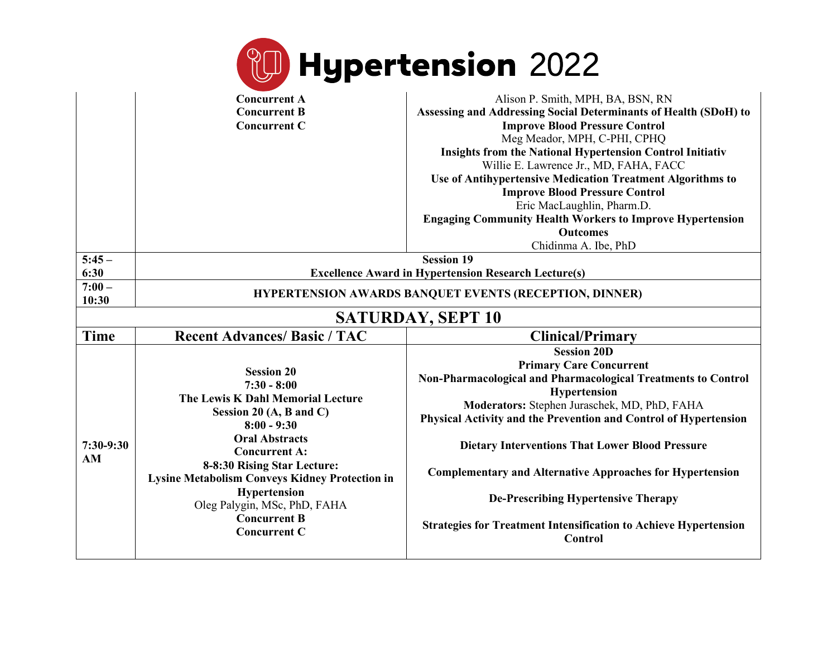|                          |                                                                                                                                                                                                                                                                                                                                                                              | <b>Hypertension</b> 2022                                                                                                                                                                                                                                                                                                                                                                                                                                                                                                                         |
|--------------------------|------------------------------------------------------------------------------------------------------------------------------------------------------------------------------------------------------------------------------------------------------------------------------------------------------------------------------------------------------------------------------|--------------------------------------------------------------------------------------------------------------------------------------------------------------------------------------------------------------------------------------------------------------------------------------------------------------------------------------------------------------------------------------------------------------------------------------------------------------------------------------------------------------------------------------------------|
|                          | <b>Concurrent A</b><br><b>Concurrent B</b><br><b>Concurrent C</b>                                                                                                                                                                                                                                                                                                            | Alison P. Smith, MPH, BA, BSN, RN<br>Assessing and Addressing Social Determinants of Health (SDoH) to<br><b>Improve Blood Pressure Control</b><br>Meg Meador, MPH, C-PHI, CPHQ<br><b>Insights from the National Hypertension Control Initiativ</b><br>Willie E. Lawrence Jr., MD, FAHA, FACC<br>Use of Antihypertensive Medication Treatment Algorithms to<br><b>Improve Blood Pressure Control</b><br>Eric MacLaughlin, Pharm.D.<br><b>Engaging Community Health Workers to Improve Hypertension</b><br><b>Outcomes</b><br>Chidinma A. Ibe, PhD |
| $5:45-$<br>6:30          | <b>Session 19</b><br><b>Excellence Award in Hypertension Research Lecture(s)</b>                                                                                                                                                                                                                                                                                             |                                                                                                                                                                                                                                                                                                                                                                                                                                                                                                                                                  |
| $7:00 -$<br>10:30        |                                                                                                                                                                                                                                                                                                                                                                              | HYPERTENSION AWARDS BANQUET EVENTS (RECEPTION, DINNER)                                                                                                                                                                                                                                                                                                                                                                                                                                                                                           |
| <b>SATURDAY, SEPT 10</b> |                                                                                                                                                                                                                                                                                                                                                                              |                                                                                                                                                                                                                                                                                                                                                                                                                                                                                                                                                  |
| <b>Time</b>              | <b>Recent Advances/ Basic / TAC</b>                                                                                                                                                                                                                                                                                                                                          | <b>Clinical/Primary</b>                                                                                                                                                                                                                                                                                                                                                                                                                                                                                                                          |
| 7:30-9:30<br>AM          | <b>Session 20</b><br>$7:30 - 8:00$<br>The Lewis K Dahl Memorial Lecture<br>Session 20 $(A, B \text{ and } C)$<br>$8:00 - 9:30$<br><b>Oral Abstracts</b><br><b>Concurrent A:</b><br>8-8:30 Rising Star Lecture:<br><b>Lysine Metabolism Conveys Kidney Protection in</b><br><b>Hypertension</b><br>Oleg Palygin, MSc, PhD, FAHA<br><b>Concurrent B</b><br><b>Concurrent C</b> | <b>Session 20D</b><br><b>Primary Care Concurrent</b><br>Non-Pharmacological and Pharmacological Treatments to Control<br>Hypertension<br>Moderators: Stephen Juraschek, MD, PhD, FAHA<br>Physical Activity and the Prevention and Control of Hypertension<br><b>Dietary Interventions That Lower Blood Pressure</b><br><b>Complementary and Alternative Approaches for Hypertension</b><br><b>De-Prescribing Hypertensive Therapy</b><br><b>Strategies for Treatment Intensification to Achieve Hypertension</b><br>Control                      |